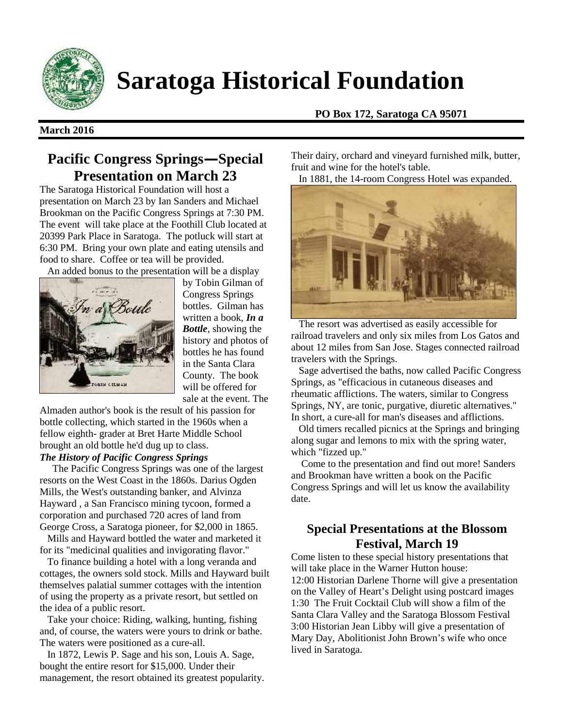

# **Saratoga Historical Foundation**

#### **March 2016**

**PO Box 172, Saratoga CA 95071**

# **Pacific Congress Springs—Special Presentation on March 23**

The Saratoga Historical Foundation will host a presentation on March 23 by Ian Sanders and Michael Brookman on the Pacific Congress Springs at 7:30 PM. The event will take place at the Foothill Club located at 20399 Park Place in Saratoga. The potluck will start at 6:30 PM. Bring your own plate and eating utensils and food to share. Coffee or tea will be provided.



by Tobin Gilman of Congress Springs bottles. Gilman has written a book, *In a Bottle*, showing the history and photos of bottles he has found in the Santa Clara County. The book will be offered for sale at the event. The

Almaden author's book is the result of his passion for bottle collecting, which started in the 1960s when a fellow eighth- grader at Bret Harte Middle School brought an old bottle he'd dug up to class.

## *The History of Pacific Congress Springs*

The Pacific Congress Springs was one of the largest resorts on the West Coast in the 1860s. Darius Ogden Mills, the West's outstanding banker, and Alvinza Hayward , a San Francisco mining tycoon, formed a corporation and purchased 720 acres of land from George Cross, a Saratoga pioneer, for \$2,000 in 1865.

Mills and Hayward bottled the water and marketed it for its "medicinal qualities and invigorating flavor."

To finance building a hotel with a long veranda and cottages, the owners sold stock. Mills and Hayward built themselves palatial summer cottages with the intention of using the property as a private resort, but settled on the idea of a public resort.

Take your choice: Riding, walking, hunting, fishing and, of course, the waters were yours to drink or bathe. The waters were positioned as a cure-all.

In 1872, Lewis P. Sage and his son, Louis A. Sage, bought the entire resort for \$15,000. Under their management, the resort obtained its greatest popularity.

Their dairy, orchard and vineyard furnished milk, butter, fruit and wine for the hotel's table.

In 1881, the 14-room Congress Hotel was expanded.



The resort was advertised as easily accessible for railroad travelers and only six miles from Los Gatos and about 12 miles from San Jose. Stages connected railroad travelers with the Springs.

Sage advertised the baths, now called Pacific Congress Springs, as "efficacious in cutaneous diseases and rheumatic afflictions. The waters, similar to Congress Springs, NY, are tonic, purgative, diuretic alternatives." In short, a cure-all for man's diseases and afflictions.

Old timers recalled picnics at the Springs and bringing along sugar and lemons to mix with the spring water, which "fizzed up."

Come to the presentation and find out more! Sanders and Brookman have written a book on the Pacific Congress Springs and will let us know the availability date.

# **Special Presentations at the Blossom Festival, March 19**

Come listen to these special history presentations that will take place in the Warner Hutton house: 12:00 Historian Darlene Thorne will give a presentation on the Valley of Heart's Delight using postcard images 1:30 The Fruit Cocktail Club will show a film of the Santa Clara Valley and the Saratoga Blossom Festival 3:00 Historian Jean Libby will give a presentation of Mary Day, Abolitionist John Brown's wife who once lived in Saratoga.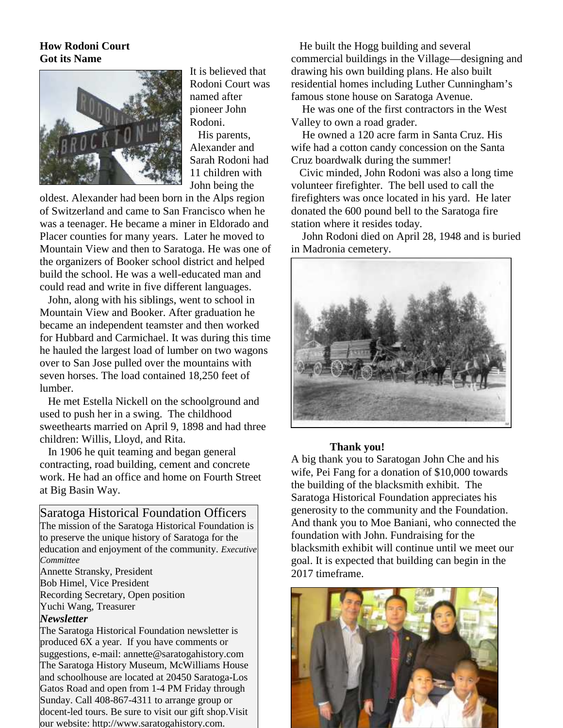### **How Rodoni Court Got its Name**



It is believed that Rodoni Court was named after pioneer John Rodoni.

His parents, Alexander and Sarah Rodoni had 11 children with John being the

oldest. Alexander had been born in the Alps region of Switzerland and came to San Francisco when he was a teenager. He became a miner in Eldorado and Placer counties for many years. Later he moved to Mountain View and then to Saratoga. He was one of the organizers of Booker school district and helped build the school. He was a well-educated man and could read and write in five different languages.

John, along with his siblings, went to school in Mountain View and Booker. After graduation he became an independent teamster and then worked for Hubbard and Carmichael. It was during this time he hauled the largest load of lumber on two wagons over to San Jose pulled over the mountains with seven horses. The load contained 18,250 feet of lumber.

He met Estella Nickell on the schoolground and used to push her in a swing. The childhood sweethearts married on April 9, 1898 and had three children: Willis, Lloyd, and Rita.

In 1906 he quit teaming and began general contracting, road building, cement and concrete work. He had an office and home on Fourth Street at Big Basin Way.

Saratoga Historical Foundation Officers The mission of the Saratoga Historical Foundation is to preserve the unique history of Saratoga for the education and enjoyment of the community. *Executive Committee*

Annette Stransky, President Bob Himel, Vice President Recording Secretary, Open position Yuchi Wang, Treasurer

#### *Newsletter*

The Saratoga Historical Foundation newsletter is produced 6X a year. If you have comments or suggestions, e-mail: annette@saratogahistory.com The Saratoga History Museum, McWilliams House and schoolhouse are located at 20450 Saratoga-Los Gatos Road and open from 1-4 PM Friday through Sunday. Call 408-867-4311 to arrange group or docent-led tours. Be sure to visit our gift shop.Visit our website: http://www.saratogahistory.com.

He built the Hogg building and several commercial buildings in the Village—designing and drawing his own building plans. He also built residential homes including Luther Cunningham's famous stone house on Saratoga Avenue.

He was one of the first contractors in the West Valley to own a road grader.

He owned a 120 acre farm in Santa Cruz. His wife had a cotton candy concession on the Santa Cruz boardwalk during the summer!

Civic minded, John Rodoni was also a long time volunteer firefighter. The bell used to call the firefighters was once located in his yard. He later donated the 600 pound bell to the Saratoga fire station where it resides today.

John Rodoni died on April 28, 1948 and is buried in Madronia cemetery.



#### **Thank you!**

A big thank you to Saratogan John Che and his wife, Pei Fang for a donation of \$10,000 towards the building of the blacksmith exhibit. The Saratoga Historical Foundation appreciates his generosity to the community and the Foundation. And thank you to Moe Baniani, who connected the foundation with John. Fundraising for the blacksmith exhibit will continue until we meet our goal. It is expected that building can begin in the 2017 timeframe.

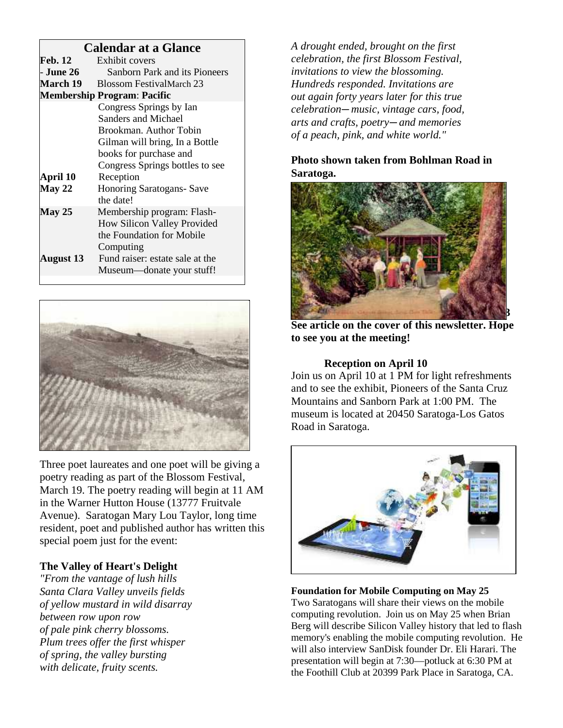# **Calendar at a Glance**

| Feb. 12                            | Exhibit covers                  |
|------------------------------------|---------------------------------|
| - June 26                          | Sanborn Park and its Pioneers   |
| <b>March 19</b>                    | <b>Blossom FestivalMarch 23</b> |
| <b>Membership Program: Pacific</b> |                                 |
|                                    | Congress Springs by Ian         |
|                                    | Sanders and Michael             |
|                                    | Brookman. Author Tobin          |
|                                    | Gilman will bring, In a Bottle  |
|                                    | books for purchase and          |
|                                    | Congress Springs bottles to see |
| April 10                           | Reception                       |
| May 22                             | <b>Honoring Saratogans-Save</b> |
|                                    | the date!                       |
| <b>May 25</b>                      | Membership program: Flash-      |
|                                    | How Silicon Valley Provided     |
|                                    | the Foundation for Mobile       |
|                                    | Computing                       |
| August 13                          | Fund raiser: estate sale at the |
|                                    | Museum—donate your stuff!       |
|                                    |                                 |



Three poet laureates and one poet will be giving a poetry reading as part of the Blossom Festival, March 19. The poetry reading will begin at 11 AM in the Warner Hutton House (13777 Fruitvale Avenue). Saratogan Mary Lou Taylor, long time resident, poet and published author has written this special poem just for the event:

# **The Valley of Heart's Delight**

*"From the vantage of lush hills Santa Clara Valley unveils fields of yellow mustard in wild disarray between row upon row of pale pink cherry blossoms. Plum trees offer the first whisper of spring, the valley bursting with delicate, fruity scents.*

*A drought ended, brought on the first celebration, the first Blossom Festival, invitations to view the blossoming. Hundreds responded. Invitations are out again forty years later for this true celebration—music, vintage cars, food, arts and crafts, poetry—and memories of a peach, pink, and white world."*

## **Photo shown taken from Bohlman Road in Saratoga.**



**See article on the cover of this newsletter. Hope to see you at the meeting!**

## **Reception on April 10**

Join us on April 10 at 1 PM for light refreshments and to see the exhibit, Pioneers of the Santa Cruz Mountains and Sanborn Park at 1:00 PM. The museum is located at 20450 Saratoga-Los Gatos Road in Saratoga.



## **Foundation for Mobile Computing on May 25**

Two Saratogans will share their views on the mobile computing revolution. Join us on May 25 when Brian Berg will describe Silicon Valley history that led to flash memory's enabling the mobile computing revolution. He will also interview SanDisk founder Dr. Eli Harari. The presentation will begin at 7:30—potluck at 6:30 PM at the Foothill Club at 20399 Park Place in Saratoga, CA.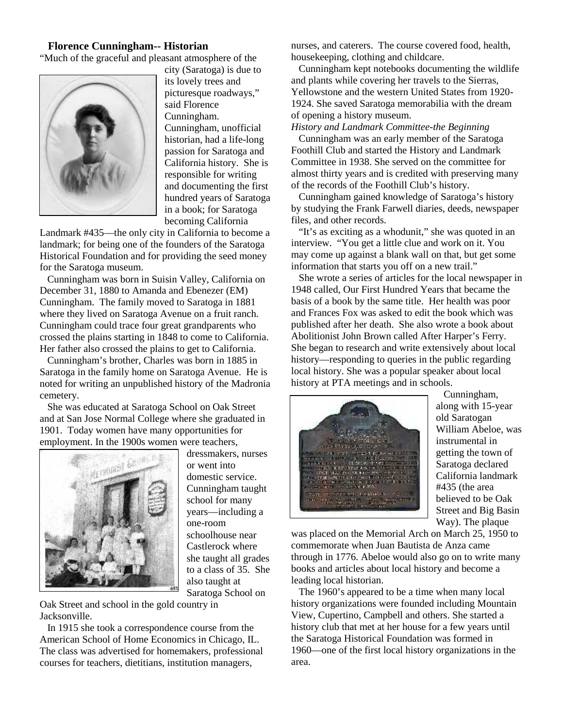#### **Florence Cunningham-- Historian**

"Much of the graceful and pleasant atmosphere of the



city (Saratoga) is due to its lovely trees and picturesque roadways," said Florence Cunningham. Cunningham, unofficial historian, had a life-long passion for Saratoga and California history. She is responsible for writing and documenting the first hundred years of Saratoga in a book; for Saratoga becoming California

Landmark #435—the only city in California to become a landmark; for being one of the founders of the Saratoga Historical Foundation and for providing the seed money for the Saratoga museum.

Cunningham was born in Suisin Valley, California on December 31, 1880 to Amanda and Ebenezer (EM) Cunningham. The family moved to Saratoga in 1881 where they lived on Saratoga Avenue on a fruit ranch. Cunningham could trace four great grandparents who crossed the plains starting in 1848 to come to California. Her father also crossed the plains to get to California.

Cunningham's brother, Charles was born in 1885 in Saratoga in the family home on Saratoga Avenue. He is noted for writing an unpublished history of the Madronia cemetery.

She was educated at Saratoga School on Oak Street and at San Jose Normal College where she graduated in 1901. Today women have many opportunities for employment. In the 1900s women were teachers,



dressmakers, nurses or went into domestic service. Cunningham taught school for many years—including a one-room schoolhouse near Castlerock where she taught all grades to a class of 35. She also taught at Saratoga School on

Oak Street and school in the gold country in Jacksonville.

In 1915 she took a correspondence course from the American School of Home Economics in Chicago, IL. The class was advertised for homemakers, professional courses for teachers, dietitians, institution managers,

nurses, and caterers. The course covered food, health, housekeeping, clothing and childcare.

Cunningham kept notebooks documenting the wildlife and plants while covering her travels to the Sierras, Yellowstone and the western United States from 1920- 1924. She saved Saratoga memorabilia with the dream of opening a history museum.

*History and Landmark Committee-the Beginning*

Cunningham was an early member of the Saratoga Foothill Club and started the History and Landmark Committee in 1938. She served on the committee for almost thirty years and is credited with preserving many of the records of the Foothill Club's history.

Cunningham gained knowledge of Saratoga's history by studying the Frank Farwell diaries, deeds, newspaper files, and other records.

"It's as exciting as a whodunit," she was quoted in an interview. "You get a little clue and work on it. You may come up against a blank wall on that, but get some information that starts you off on a new trail."

She wrote a series of articles for the local newspaper in 1948 called, Our First Hundred Years that became the basis of a book by the same title. Her health was poor and Frances Fox was asked to edit the book which was published after her death. She also wrote a book about Abolitionist John Brown called After Harper's Ferry. She began to research and write extensively about local history—responding to queries in the public regarding local history. She was a popular speaker about local history at PTA meetings and in schools.



Cunningham, along with 15-year old Saratogan William Abeloe, was instrumental in getting the town of Saratoga declared California landmark #435 (the area believed to be Oak Street and Big Basin Way). The plaque

was placed on the Memorial Arch on March 25, 1950 to commemorate when Juan Bautista de Anza came through in 1776. Abeloe would also go on to write many books and articles about local history and become a leading local historian.

The 1960's appeared to be a time when many local history organizations were founded including Mountain View, Cupertino, Campbell and others. She started a history club that met at her house for a few years until the Saratoga Historical Foundation was formed in 1960—one of the first local history organizations in the area.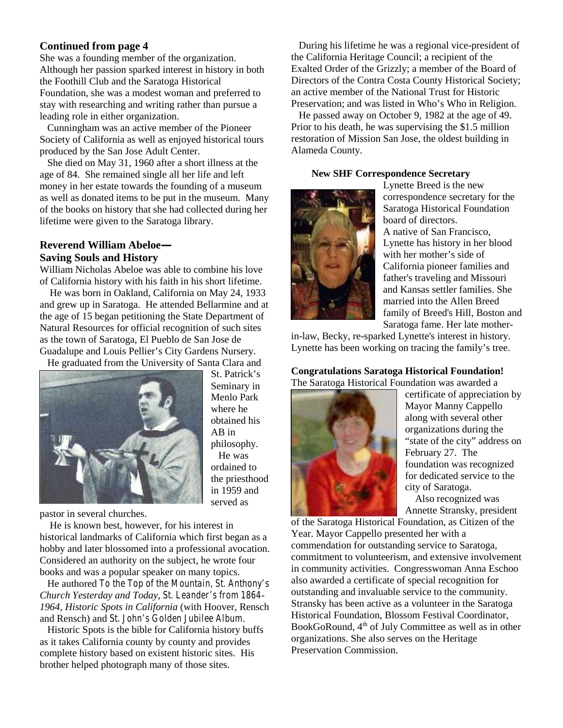#### **Continued from page 4**

She was a founding member of the organization. Although her passion sparked interest in history in both the Foothill Club and the Saratoga Historical Foundation, she was a modest woman and preferred to stay with researching and writing rather than pursue a leading role in either organization.

Cunningham was an active member of the Pioneer Society of California as well as enjoyed historical tours produced by the San Jose Adult Center.

She died on May 31, 1960 after a short illness at the age of 84. She remained single all her life and left money in her estate towards the founding of a museum as well as donated items to be put in the museum. Many of the books on history that she had collected during her lifetime were given to the Saratoga library.

## **Reverend William Abeloe— Saving Souls and History**

William Nicholas Abeloe was able to combine his love of California history with his faith in his short lifetime.

He was born in Oakland, California on May 24, 1933 and grew up in Saratoga. He attended Bellarmine and at the age of 15 began petitioning the State Department of Natural Resources for official recognition of such sites as the town of Saratoga, El Pueblo de San Jose de Guadalupe and Louis Pellier's City Gardens Nursery.

He graduated from the University of Santa Clara and



St. Patrick's Seminary in Menlo Park where he obtained his AB in philosophy. He was ordained to the priesthood in 1959 and served as

pastor in several churches.

He is known best, however, for his interest in historical landmarks of California which first began as a hobby and later blossomed into a professional avocation. Considered an authority on the subject, he wrote four books and was a popular speaker on many topics.

He authored *To the Top of the Mountain, St. Anthony's Church Yesterday and Today*, *St. Leander's from 1864- 1964, Historic Spots in California* (with Hoover, Rensch and Rensch) and *St. John's Golden Jubilee Album*.

Historic Spots is the bible for California history buffs as it takes California county by county and provides complete history based on existent historic sites. His brother helped photograph many of those sites.

During his lifetime he was a regional vice-president of the California Heritage Council; a recipient of the Exalted Order of the Grizzly; a member of the Board of Directors of the Contra Costa County Historical Society; an active member of the National Trust for Historic Preservation; and was listed in Who's Who in Religion.

He passed away on October 9, 1982 at the age of 49. Prior to his death, he was supervising the \$1.5 million restoration of Mission San Jose, the oldest building in Alameda County.

#### **New SHF Correspondence Secretary**



Lynette Breed is the new correspondence secretary for the Saratoga Historical Foundation board of directors. A native of San Francisco, Lynette has history in her blood with her mother's side of California pioneer families and father's traveling and Missouri and Kansas settler families. She married into the Allen Breed family of Breed's Hill, Boston and Saratoga fame. Her late mother-

in-law, Becky, re-sparked Lynette's interest in history. Lynette has been working on tracing the family's tree.

#### **Congratulations Saratoga Historical Foundation!** The Saratoga Historical Foundation was awarded a



certificate of appreciation by Mayor Manny Cappello along with several other organizations during the "state of the city" address on February 27. The foundation was recognized for dedicated service to the city of Saratoga.

Also recognized was Annette Stransky, president

of the Saratoga Historical Foundation, as Citizen of the Year. Mayor Cappello presented her with a commendation for outstanding service to Saratoga, commitment to volunteerism, and extensive involvement in community activities. Congresswoman Anna Eschoo also awarded a certificate of special recognition for outstanding and invaluable service to the community. Stransky has been active as a volunteer in the Saratoga Historical Foundation, Blossom Festival Coordinator, BookGoRound, 4th of July Committee as well as in other organizations. She also serves on the Heritage Preservation Commission.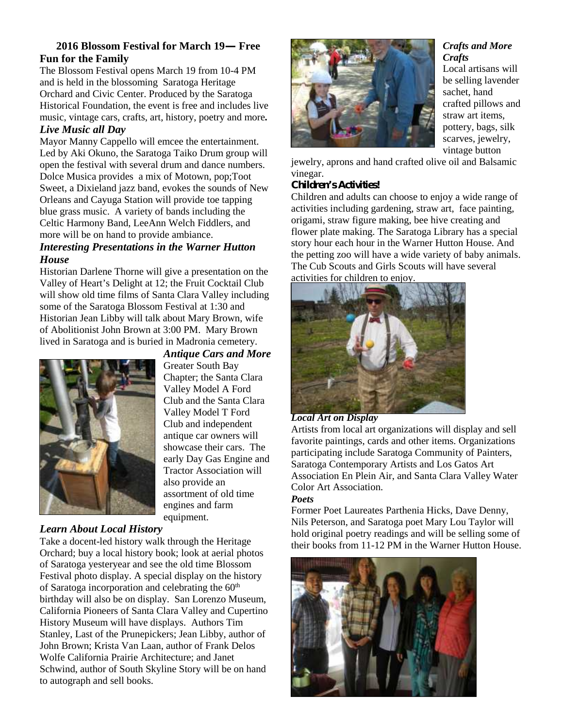## **2016 Blossom Festival for March 19— Free Fun for the Family**

The Blossom Festival opens March 19 from 10-4 PM and is held in the blossoming Saratoga Heritage Orchard and Civic Center. Produced by the Saratoga Historical Foundation, the event is free and includes live music, vintage cars, crafts, art, history, poetry and more*.*

## *Live Music all Day*

Mayor Manny Cappello will emcee the entertainment. Led by Aki Okuno, the Saratoga Taiko Drum group will open the festival with several drum and dance numbers. Dolce Musica provides a mix of Motown, pop;Toot Sweet, a Dixieland jazz band, evokes the sounds of New Orleans and Cayuga Station will provide toe tapping blue grass music. A variety of bands including the Celtic Harmony Band, LeeAnn Welch Fiddlers, and more will be on hand to provide ambiance.

### *Interesting Presentations in the Warner Hutton House*

Historian Darlene Thorne will give a presentation on the Valley of Heart's Delight at 12; the Fruit Cocktail Club will show old time films of Santa Clara Valley including some of the Saratoga Blossom Festival at 1:30 and Historian Jean Libby will talk about Mary Brown, wife of Abolitionist John Brown at 3:00 PM. Mary Brown lived in Saratoga and is buried in Madronia cemetery.



*Antique Cars and More* Greater South Bay Chapter; the Santa Clara Valley Model A Ford Club and the Santa Clara Valley Model T Ford Club and independent antique car owners will showcase their cars. The early Day Gas Engine and Tractor Association will also provide an assortment of old time engines and farm equipment.

# *Learn About Local History*

Take a docent-led history walk through the Heritage Orchard; buy a local history book; look at aerial photos of Saratoga yesteryear and see the old time Blossom Festival photo display. A special display on the history of Saratoga incorporation and celebrating the  $60<sup>th</sup>$ birthday will also be on display. San Lorenzo Museum, California Pioneers of Santa Clara Valley and Cupertino History Museum will have displays. Authors Tim Stanley, Last of the Prunepickers; Jean Libby, author of John Brown; Krista Van Laan, author of Frank Delos Wolfe California Prairie Architecture; and Janet Schwind, author of South Skyline Story will be on hand to autograph and sell books.



### *Crafts and More Crafts*

Local artisans will be selling lavender sachet, hand crafted pillows and straw art items, pottery, bags, silk scarves, jewelry, vintage button

jewelry, aprons and hand crafted olive oil and Balsamic vinegar.

#### *Children's Activities!*

Children and adults can choose to enjoy a wide range of activities including gardening, straw art, face painting, origami, straw figure making, bee hive creating and flower plate making. The Saratoga Library has a special story hour each hour in the Warner Hutton House. And the petting zoo will have a wide variety of baby animals. The Cub Scouts and Girls Scouts will have several activities for children to enjoy.



#### *Local Art on Display*

Artists from local art organizations will display and sell favorite paintings, cards and other items. Organizations participating include Saratoga Community of Painters, Saratoga Contemporary Artists and Los Gatos Art Association En Plein Air, and Santa Clara Valley Water Color Art Association.

#### *Poets*

Former Poet Laureates Parthenia Hicks, Dave Denny, Nils Peterson, and Saratoga poet Mary Lou Taylor will hold original poetry readings and will be selling some of their books from 11-12 PM in the Warner Hutton House.

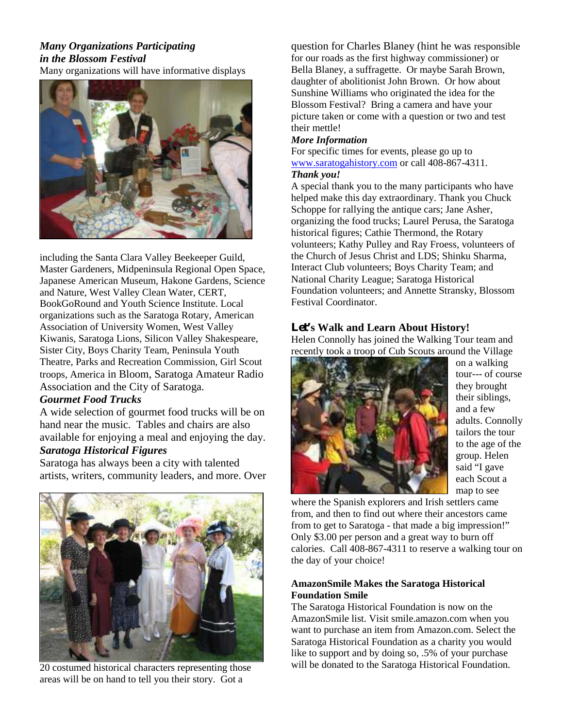# *Many Organizations Participating in the Blossom Festival*

Many organizations will have informative displays



including the Santa Clara Valley Beekeeper Guild, Master Gardeners, Midpeninsula Regional Open Space, Japanese American Museum, Hakone Gardens, Science and Nature, West Valley Clean Water, CERT, BookGoRound and Youth Science Institute. Local organizations such as the Saratoga Rotary, American Association of University Women, West Valley Kiwanis, Saratoga Lions, Silicon Valley Shakespeare, Sister City, Boys Charity Team, Peninsula Youth Theatre, Parks and Recreation Commission, Girl Scout troops, America in Bloom, Saratoga Amateur Radio Association and the City of Saratoga.

#### *Gourmet Food Trucks*

A wide selection of gourmet food trucks will be on hand near the music. Tables and chairs are also available for enjoying a meal and enjoying the day.

# *Saratoga Historical Figures*

Saratoga has always been a city with talented artists, writers, community leaders, and more. Over



20 costumed historical characters representing those areas will be on hand to tell you their story. Got a

question for Charles Blaney (hint he was responsible for our roads as the first highway commissioner) or Bella Blaney, a suffragette. Or maybe Sarah Brown, daughter of abolitionist John Brown. Or how about Sunshine Williams who originated the idea for the Blossom Festival? Bring a camera and have your picture taken or come with a question or two and test their mettle!

#### *More Information*

For specific times for events, please go up to www.saratogahistory.com or call 408-867-4311.

## *Thank you!*

A special thank you to the many participants who have helped make this day extraordinary. Thank you Chuck Schoppe for rallying the antique cars; Jane Asher, organizing the food trucks; Laurel Perusa, the Saratoga historical figures; Cathie Thermond, the Rotary volunteers; Kathy Pulley and Ray Froess, volunteers of the Church of Jesus Christ and LDS; Shinku Sharma, Interact Club volunteers; Boys Charity Team; and National Charity League; Saratoga Historical Foundation volunteers; and Annette Stransky, Blossom Festival Coordinator.

#### **Let's Walk and Learn About History!**

Helen Connolly has joined the Walking Tour team and recently took a troop of Cub Scouts around the Village



on a walking tour--- of course they brought their siblings, and a few adults. Connolly tailors the tour to the age of the group. Helen said "I gave each Scout a map to see

where the Spanish explorers and Irish settlers came from, and then to find out where their ancestors came from to get to Saratoga - that made a big impression!" Only \$3.00 per person and a great way to burn off calories. Call 408-867-4311 to reserve a walking tour on the day of your choice!

#### **AmazonSmile Makes the Saratoga Historical Foundation Smile**

The Saratoga Historical Foundation is now on the AmazonSmile list. Visit smile.amazon.com when you want to purchase an item from Amazon.com. Select the Saratoga Historical Foundation as a charity you would like to support and by doing so, .5% of your purchase will be donated to the Saratoga Historical Foundation.